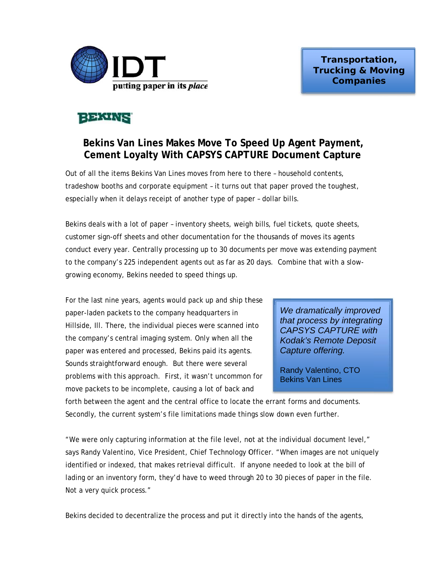

# **BEATHER**

## Bekins Van Lines Makes Move To Speed Up Agent Payment, Cement Loyalty With CAPSYS CAPTURE Document Capture

Out of all the items Bekins Van Lines moves from here to there - household contents. tradeshow booths and corporate equipment - it turns out that paper proved the toughest, especially when it delays receipt of another type of paper - dollar bills.

Bekins deals with a lot of paper - inventory sheets, weigh bills, fuel tickets, quote sheets, customer sign-off sheets and other documentation for the thousands of moves its agents conduct every year. Centrally processing up to 30 documents per move was extending payment to the company's 225 independent agents out as far as 20 days. Combine that with a slowgrowing economy, Bekins needed to speed things up.

For the last nine years, agents would pack up and ship these paper-laden packets to the company headquarters in Hillside, III. There, the individual pieces were scanned into the company's central imaging system. Only when all the paper was entered and processed, Bekins paid its agents. Sounds straightforward enough. But there were several problems with this approach. First, it wasn't uncommon for move packets to be incomplete, causing a lot of back and

We dramatically improved that process by integrating **CAPSYS CAPTURE with Kodak's Remote Deposit** Capture offering.

Randy Valentino, CTO **Bekins Van Lines** 

forth between the agent and the central office to locate the errant forms and documents. Secondly, the current system's file limitations made things slow down even further.

"We were only capturing information at the file level, not at the individual document level," says Randy Valentino, Vice President, Chief Technology Officer. "When images are not uniquely identified or indexed, that makes retrieval difficult. If anyone needed to look at the bill of lading or an inventory form, they'd have to weed through 20 to 30 pieces of paper in the file. Not a very quick process."

Bekins decided to decentralize the process and put it directly into the hands of the agents,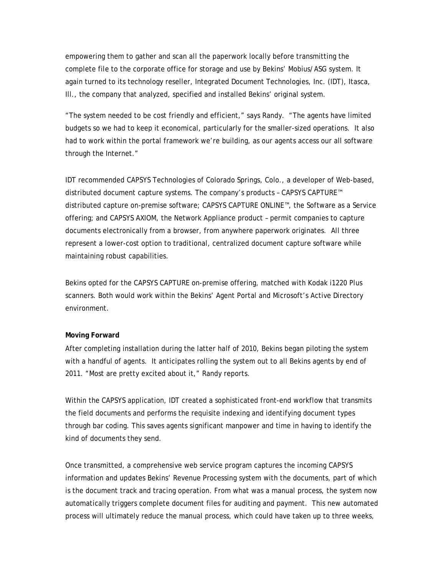empowering them to gather and scan all the paperwork locally before transmitting the complete file to the corporate office for storage and use by Bekins' Mobius/ASG system. It again turned to its technology reseller, Integrated Document Technologies, Inc. (IDT), Itasca, Ill., the company that analyzed, specified and installed Bekins' original system.

"The system needed to be cost friendly and efficient," says Randy. "The agents have limited budgets so we had to keep it economical, particularly for the smaller-sized operations. It also had to work within the portal framework we're building, as our agents access our all software through the Internet."

IDT recommended CAPSYS Technologies of Colorado Springs, Colo., a developer of Web-based, distributed document capture systems. The company's products – CAPSYS CAPTURE™ distributed capture on-premise software; CAPSYS CAPTURE ONLINE™, the Software as a Service offering; and CAPSYS AXIOM, the Network Appliance product – permit companies to capture documents electronically from a browser, from anywhere paperwork originates. All three represent a lower-cost option to traditional, centralized document capture software while maintaining robust capabilities.

Bekins opted for the CAPSYS CAPTURE on-premise offering, matched with Kodak i1220 Plus scanners. Both would work within the Bekins' Agent Portal and Microsoft's Active Directory environment.

### **Moving Forward**

After completing installation during the latter half of 2010, Bekins began piloting the system with a handful of agents. It anticipates rolling the system out to all Bekins agents by end of 2011. "Most are pretty excited about it," Randy reports.

Within the CAPSYS application, IDT created a sophisticated front-end workflow that transmits the field documents and performs the requisite indexing and identifying document types through bar coding. This saves agents significant manpower and time in having to identify the kind of documents they send.

Once transmitted, a comprehensive web service program captures the incoming CAPSYS information and updates Bekins' Revenue Processing system with the documents, part of which is the document track and tracing operation. From what was a manual process, the system now automatically triggers complete document files for auditing and payment. This new automated process will ultimately reduce the manual process, which could have taken up to three weeks,